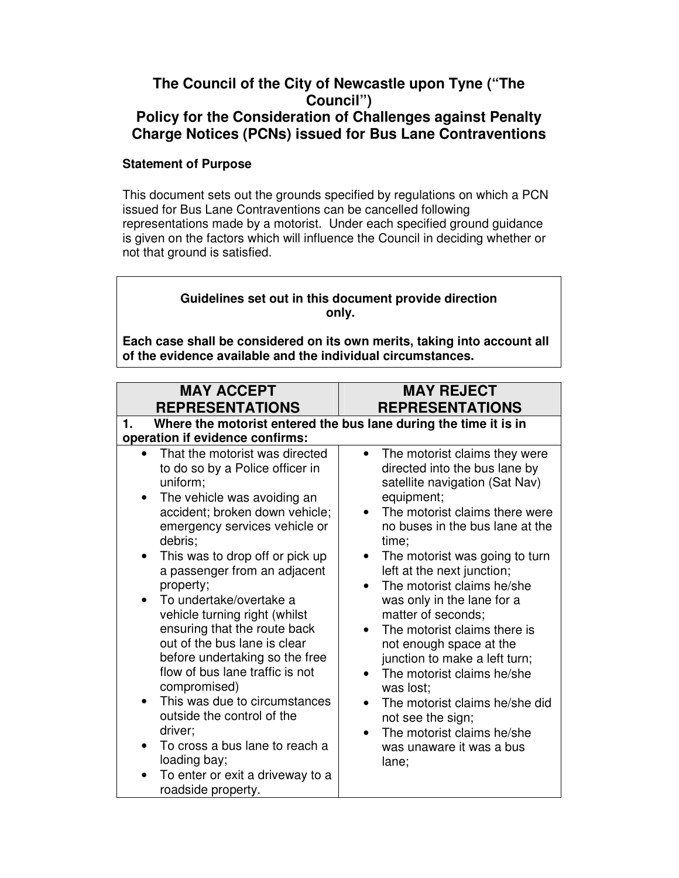## **The Council of the City of Newcastle upon Tyne ("The Council") Policy for the Consideration of Challenges against Penalty Charge Notices (PCNs) issued for Bus Lane Contraventions**

## **Statement of Purpose**

This document sets out the grounds specified by regulations on which a PCN issued for Bus Lane Contraventions can be cancelled following representations made by a motorist. Under each specified ground guidance is given on the factors which will influence the Council in deciding whether or not that ground is satisfied.

## **Guidelines set out in this document provide direction only.**

**Each case shall be considered on its own merits, taking into account all of the evidence available and the individual circumstances.** 

| <b>MAY ACCEPT</b><br><b>REPRESENTATIONS</b>                                                                                                                                                                                                                                                                                                                                                                                                                                                                                                                                                                                                                                                                                                | <b>MAY REJECT</b><br><b>REPRESENTATIONS</b>                                                                                                                                                                                                                                                                                                                                                                                                                                                                                                                                                                                               |
|--------------------------------------------------------------------------------------------------------------------------------------------------------------------------------------------------------------------------------------------------------------------------------------------------------------------------------------------------------------------------------------------------------------------------------------------------------------------------------------------------------------------------------------------------------------------------------------------------------------------------------------------------------------------------------------------------------------------------------------------|-------------------------------------------------------------------------------------------------------------------------------------------------------------------------------------------------------------------------------------------------------------------------------------------------------------------------------------------------------------------------------------------------------------------------------------------------------------------------------------------------------------------------------------------------------------------------------------------------------------------------------------------|
| Where the motorist entered the bus lane during the time it is in<br>1.<br>operation if evidence confirms:                                                                                                                                                                                                                                                                                                                                                                                                                                                                                                                                                                                                                                  |                                                                                                                                                                                                                                                                                                                                                                                                                                                                                                                                                                                                                                           |
| That the motorist was directed<br>$\bullet$<br>to do so by a Police officer in<br>uniform;<br>The vehicle was avoiding an<br>accident; broken down vehicle;<br>emergency services vehicle or<br>debris;<br>This was to drop off or pick up<br>٠<br>a passenger from an adjacent<br>property;<br>To undertake/overtake a<br>$\bullet$<br>vehicle turning right (whilst<br>ensuring that the route back<br>out of the bus lane is clear<br>before undertaking so the free<br>flow of bus lane traffic is not<br>compromised)<br>This was due to circumstances<br>$\bullet$<br>outside the control of the<br>driver;<br>To cross a bus lane to reach a<br>$\bullet$<br>loading bay;<br>To enter or exit a driveway to a<br>roadside property. | The motorist claims they were<br>$\bullet$<br>directed into the bus lane by<br>satellite navigation (Sat Nav)<br>equipment;<br>The motorist claims there were<br>no buses in the bus lane at the<br>time:<br>The motorist was going to turn<br>$\bullet$<br>left at the next junction;<br>The motorist claims he/she<br>was only in the lane for a<br>matter of seconds;<br>The motorist claims there is<br>not enough space at the<br>junction to make a left turn;<br>The motorist claims he/she<br>was lost;<br>The motorist claims he/she did<br>not see the sign;<br>The motorist claims he/she<br>was unaware it was a bus<br>lane; |